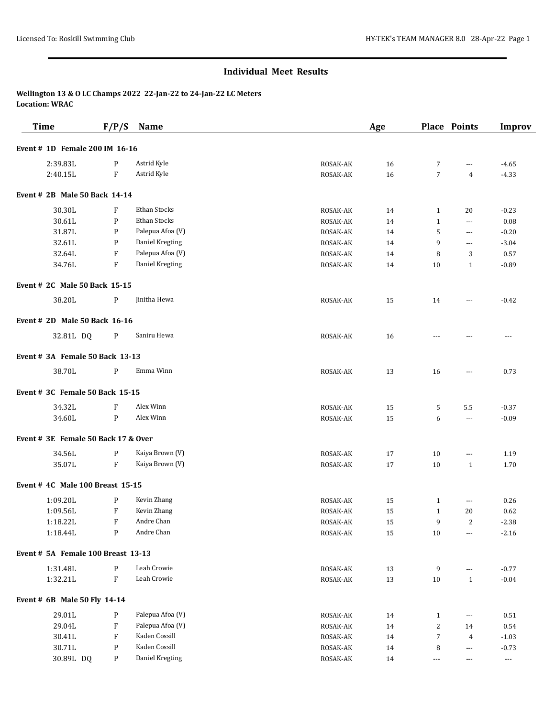| <b>Time</b>                         | F/P/S                     | Name             |          | Age    |                          | <b>Place Points</b>      | <b>Improv</b> |
|-------------------------------------|---------------------------|------------------|----------|--------|--------------------------|--------------------------|---------------|
| Event # 1D Female 200 IM 16-16      |                           |                  |          |        |                          |                          |               |
| 2:39.83L                            | P                         | Astrid Kyle      | ROSAK-AK | 16     | 7                        | ---                      | $-4.65$       |
| 2:40.15L                            | F                         | Astrid Kyle      | ROSAK-AK | 16     | $\overline{7}$           | $\overline{4}$           | $-4.33$       |
| Event # 2B Male 50 Back 14-14       |                           |                  |          |        |                          |                          |               |
| 30.30L                              | F                         | Ethan Stocks     | ROSAK-AK | 14     | $\mathbf{1}$             | 20                       | $-0.23$       |
| 30.61L                              | ${\bf P}$                 | Ethan Stocks     | ROSAK-AK | 14     | $\mathbf{1}$             | ---                      | 0.08          |
| 31.87L                              | P                         | Palepua Afoa (V) | ROSAK-AK | 14     | 5                        | $\cdots$                 | $-0.20$       |
| 32.61L                              | P                         | Daniel Kregting  | ROSAK-AK | 14     | 9                        | $---$                    | $-3.04$       |
| 32.64L                              | F                         | Palepua Afoa (V) | ROSAK-AK | 14     | 8                        | 3                        | 0.57          |
| 34.76L                              | $\mathbf{F}$              | Daniel Kregting  | ROSAK-AK | 14     | 10                       | 1                        | $-0.89$       |
| Event # 2C Male 50 Back 15-15       |                           |                  |          |        |                          |                          |               |
| 38.20L                              | $\mathbf{P}$              | Jinitha Hewa     | ROSAK-AK | 15     | 14                       | ---                      | $-0.42$       |
| Event # 2D Male 50 Back 16-16       |                           |                  |          |        |                          |                          |               |
| 32.81L DQ                           | P                         | Saniru Hewa      | ROSAK-AK | 16     |                          |                          | ---           |
| Event # 3A Female 50 Back 13-13     |                           |                  |          |        |                          |                          |               |
| 38.70L                              | P                         | Emma Winn        | ROSAK-AK | 13     | 16                       | ---                      | 0.73          |
| Event # 3C Female 50 Back 15-15     |                           |                  |          |        |                          |                          |               |
| 34.32L                              | F                         | Alex Winn        | ROSAK-AK | 15     | 5                        | 5.5                      | $-0.37$       |
| 34.60L                              | P                         | Alex Winn        | ROSAK-AK | 15     | 6                        | $\cdots$                 | $-0.09$       |
| Event # 3E Female 50 Back 17 & Over |                           |                  |          |        |                          |                          |               |
| 34.56L                              | P                         | Kaiya Brown (V)  | ROSAK-AK | 17     | 10                       | ---                      | 1.19          |
| 35.07L                              | $_{\rm F}$                | Kaiya Brown (V)  | ROSAK-AK | 17     | 10                       | $\mathbf{1}$             | 1.70          |
| Event # 4C Male 100 Breast 15-15    |                           |                  |          |        |                          |                          |               |
| 1:09.20L                            | P                         | Kevin Zhang      | ROSAK-AK | 15     | $\mathbf{1}$             | ---                      | 0.26          |
| 1:09.56L                            | F                         | Kevin Zhang      | ROSAK-AK | 15     | $\mathbf{1}$             | 20                       | 0.62          |
| 1:18.22L                            | F                         | Andre Chan       | ROSAK-AK | 15     | 9                        | 2                        | $-2.38$       |
| 1:18.44L                            | $\mathbf{P}$              | Andre Chan       | ROSAK-AK | 15     | $10\,$                   | ---                      | $-2.16$       |
| Event # 5A Female 100 Breast 13-13  |                           |                  |          |        |                          |                          |               |
| 1:31.48L                            | $\mathbf{P}$              | Leah Crowie      | ROSAK-AK | 13     | 9                        | ---                      | $-0.77$       |
| 1:32.21L                            | $\rm F$                   | Leah Crowie      | ROSAK-AK | $13\,$ | $10\,$                   | $\mathbf{1}$             | $-0.04$       |
| Event # 6B Male 50 Fly 14-14        |                           |                  |          |        |                          |                          |               |
| 29.01L                              | $\mathbf{P}$              | Palepua Afoa (V) | ROSAK-AK | 14     | $\mathbf{1}$             | $\scriptstyle\cdots$     | 0.51          |
| 29.04L                              | $\boldsymbol{\mathrm{F}}$ | Palepua Afoa (V) | ROSAK-AK | 14     | $\overline{c}$           | 14                       | 0.54          |
| 30.41L                              | ${\bf F}$                 | Kaden Cossill    | ROSAK-AK | 14     | $\overline{7}$           | $\overline{4}$           | $-1.03$       |
| 30.71L                              | ${\bf P}$                 | Kaden Cossill    | ROSAK-AK | 14     | 8                        | $\overline{\phantom{a}}$ | $-0.73$       |
| 30.89L DQ                           | $\mathbf{P}$              | Daniel Kregting  | ROSAK-AK | 14     | $\overline{\phantom{a}}$ | $\scriptstyle\cdots$     | $\cdots$      |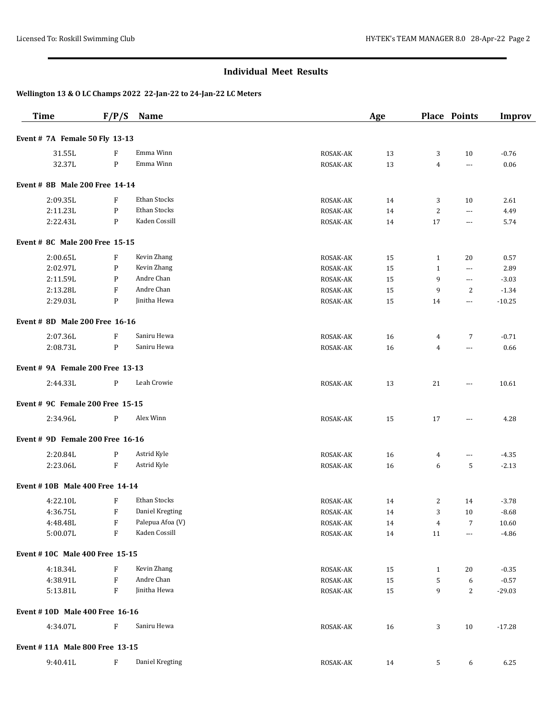| <b>Time</b>                           | F/P/S                     | Name             |          | Age |                | <b>Place Points</b>      | <b>Improv</b> |
|---------------------------------------|---------------------------|------------------|----------|-----|----------------|--------------------------|---------------|
| Event # 7A Female 50 Fly 13-13        |                           |                  |          |     |                |                          |               |
| 31.55L                                | F                         | Emma Winn        | ROSAK-AK | 13  | 3              | 10                       | $-0.76$       |
| 32.37L                                | $\mathbf{P}$              | Emma Winn        | ROSAK-AK | 13  | 4              | $---$                    | 0.06          |
| Event # 8B Male 200 Free 14-14        |                           |                  |          |     |                |                          |               |
| 2:09.35L                              | $\boldsymbol{\mathrm{F}}$ | Ethan Stocks     | ROSAK-AK | 14  | 3              | 10                       | 2.61          |
| 2:11.23L                              | $\mathbf{P}$              | Ethan Stocks     | ROSAK-AK | 14  | $\overline{c}$ | ---                      | 4.49          |
| 2:22.43L                              | $\mathbf{P}$              | Kaden Cossill    | ROSAK-AK | 14  | 17             | $\cdots$                 | 5.74          |
| <b>Event # 8C Male 200 Free 15-15</b> |                           |                  |          |     |                |                          |               |
| 2:00.65L                              | F                         | Kevin Zhang      | ROSAK-AK | 15  | $\mathbf{1}$   | 20                       | 0.57          |
| 2:02.97L                              | P                         | Kevin Zhang      | ROSAK-AK | 15  | $\mathbf{1}$   | $\scriptstyle\cdots$     | 2.89          |
| 2:11.59L                              | P                         | Andre Chan       | ROSAK-AK | 15  | 9              | $\scriptstyle\cdots$     | $-3.03$       |
| 2:13.28L                              | $\boldsymbol{\mathrm{F}}$ | Andre Chan       | ROSAK-AK | 15  | 9              | $\overline{2}$           | $-1.34$       |
| 2:29.03L                              | P                         | Jinitha Hewa     | ROSAK-AK | 15  | 14             | $\scriptstyle\cdots$     | $-10.25$      |
| Event # 8D Male 200 Free 16-16        |                           |                  |          |     |                |                          |               |
| 2:07.36L                              | F                         | Saniru Hewa      | ROSAK-AK | 16  | 4              | $\overline{7}$           | $-0.71$       |
| 2:08.73L                              | P                         | Saniru Hewa      | ROSAK-AK | 16  | $\overline{4}$ | $---$                    | 0.66          |
| Event # 9A Female 200 Free 13-13      |                           |                  |          |     |                |                          |               |
| 2:44.33L                              | P                         | Leah Crowie      | ROSAK-AK | 13  | 21             | $\scriptstyle\cdots$     | 10.61         |
| Event # 9C Female 200 Free 15-15      |                           |                  |          |     |                |                          |               |
| 2:34.96L                              | P                         | Alex Winn        | ROSAK-AK | 15  | 17             | $\cdots$                 | 4.28          |
| Event # 9D Female 200 Free 16-16      |                           |                  |          |     |                |                          |               |
| 2:20.84L                              | P                         | Astrid Kyle      | ROSAK-AK | 16  | 4              | $\cdots$                 | $-4.35$       |
| 2:23.06L                              | $\boldsymbol{\mathrm{F}}$ | Astrid Kyle      | ROSAK-AK | 16  | 6              | 5                        | $-2.13$       |
| Event #10B Male 400 Free 14-14        |                           |                  |          |     |                |                          |               |
| 4:22.10L                              | F                         | Ethan Stocks     | ROSAK-AK | 14  | 2              | 14                       | $-3.78$       |
| 4:36.75L                              | F                         | Daniel Kregting  | ROSAK-AK | 14  | 3              | 10                       | $-8.68$       |
| 4:48.48L                              | $\boldsymbol{\mathrm{F}}$ | Palepua Afoa (V) | ROSAK-AK | 14  | 4              | $\overline{7}$           | 10.60         |
| 5:00.07L                              | $\boldsymbol{\mathrm{F}}$ | Kaden Cossill    | ROSAK-AK | 14  | 11             | $\overline{\phantom{a}}$ | $-4.86$       |
| Event #10C Male 400 Free 15-15        |                           |                  |          |     |                |                          |               |
| 4:18.34L                              | $\boldsymbol{\mathrm{F}}$ | Kevin Zhang      | ROSAK-AK | 15  | $\mathbf{1}$   | 20                       | $-0.35$       |
| 4:38.91L                              | $\boldsymbol{\mathrm{F}}$ | Andre Chan       | ROSAK-AK | 15  | 5              | 6                        | $-0.57$       |
| 5:13.81L                              | $\boldsymbol{\mathrm{F}}$ | Jinitha Hewa     | ROSAK-AK | 15  | 9              | 2                        | $-29.03$      |
| Event #10D Male 400 Free 16-16        |                           |                  |          |     |                |                          |               |
| 4:34.07L                              | $\boldsymbol{\mathrm{F}}$ | Saniru Hewa      | ROSAK-AK | 16  | 3              | 10                       | $-17.28$      |
| Event #11A Male 800 Free 13-15        |                           |                  |          |     |                |                          |               |
| 9:40.41L                              | $_{\rm F}$                | Daniel Kregting  | ROSAK-AK | 14  | 5              | 6                        | 6.25          |
|                                       |                           |                  |          |     |                |                          |               |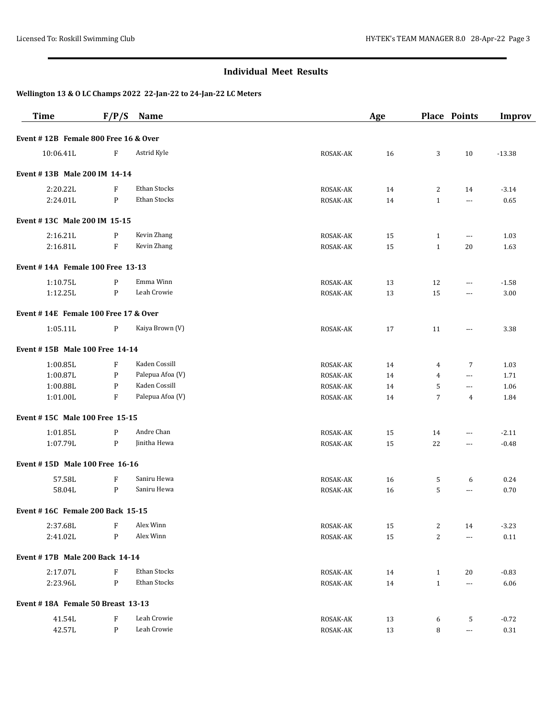| <b>Time</b>                          | F/P/S                     | Name             |          | Age |                | <b>Place Points</b>      | <b>Improv</b> |
|--------------------------------------|---------------------------|------------------|----------|-----|----------------|--------------------------|---------------|
| Event #12B Female 800 Free 16 & Over |                           |                  |          |     |                |                          |               |
| 10:06.41L                            | $\boldsymbol{\mathrm{F}}$ | Astrid Kyle      | ROSAK-AK | 16  | 3              | 10                       | $-13.38$      |
| Event #13B Male 200 IM 14-14         |                           |                  |          |     |                |                          |               |
| 2:20.22L                             | F                         | Ethan Stocks     | ROSAK-AK | 14  | 2              | 14                       | $-3.14$       |
| 2:24.01L                             | ${\bf P}$                 | Ethan Stocks     | ROSAK-AK | 14  | $\mathbf{1}$   | $\cdots$                 | 0.65          |
| Event #13C Male 200 IM 15-15         |                           |                  |          |     |                |                          |               |
| 2:16.21L                             | P                         | Kevin Zhang      | ROSAK-AK | 15  | $\mathbf{1}$   | ---                      | 1.03          |
| 2:16.81L                             | $\boldsymbol{\mathrm{F}}$ | Kevin Zhang      | ROSAK-AK | 15  | $\mathbf{1}$   | 20                       | 1.63          |
| Event #14A Female 100 Free 13-13     |                           |                  |          |     |                |                          |               |
| 1:10.75L                             | P                         | Emma Winn        | ROSAK-AK | 13  | 12             | $---$                    | $-1.58$       |
| 1:12.25L                             | ${\bf P}$                 | Leah Crowie      | ROSAK-AK | 13  | 15             | $---$                    | 3.00          |
| Event #14E Female 100 Free 17 & Over |                           |                  |          |     |                |                          |               |
| 1:05.11L                             | P                         | Kaiya Brown (V)  | ROSAK-AK | 17  | 11             | ---                      | 3.38          |
| Event #15B Male 100 Free 14-14       |                           |                  |          |     |                |                          |               |
| 1:00.85L                             | F                         | Kaden Cossill    | ROSAK-AK | 14  | 4              | 7                        | 1.03          |
| 1:00.87L                             | $\mathbf P$               | Palepua Afoa (V) | ROSAK-AK | 14  | 4              | $\overline{a}$           | 1.71          |
| 1:00.88L                             | $\mathbf P$               | Kaden Cossill    | ROSAK-AK | 14  | 5              | ---                      | 1.06          |
| 1:01.00L                             | F                         | Palepua Afoa (V) | ROSAK-AK | 14  | $\overline{7}$ | 4                        | 1.84          |
| Event #15C Male 100 Free 15-15       |                           |                  |          |     |                |                          |               |
| 1:01.85L                             | $\mathbf P$               | Andre Chan       | ROSAK-AK | 15  | 14             | $---$                    | $-2.11$       |
| 1:07.79L                             | $\mathbf P$               | Jinitha Hewa     | ROSAK-AK | 15  | 22             | ---                      | $-0.48$       |
| Event #15D Male 100 Free 16-16       |                           |                  |          |     |                |                          |               |
| 57.58L                               | $\boldsymbol{\mathrm{F}}$ | Saniru Hewa      | ROSAK-AK | 16  | 5              | 6                        | 0.24          |
| 58.04L                               | $\mathbf P$               | Saniru Hewa      | ROSAK-AK | 16  | 5              | ---                      | 0.70          |
| Event #16C Female 200 Back 15-15     |                           |                  |          |     |                |                          |               |
| 2:37.68L                             | $\boldsymbol{\mathrm{F}}$ | Alex Winn        | ROSAK-AK | 15  | $\overline{c}$ | 14                       | $-3.23$       |
| 2:41.02L                             | ${\bf P}$                 | Alex Winn        | ROSAK-AK | 15  | 2              | $\overline{\phantom{a}}$ | $0.11\,$      |
| Event #17B Male 200 Back 14-14       |                           |                  |          |     |                |                          |               |
| 2:17.07L                             | $\boldsymbol{\mathrm{F}}$ | Ethan Stocks     | ROSAK-AK | 14  | $\mathbf{1}$   | 20                       | $-0.83$       |
| 2:23.96L                             | ${\bf P}$                 | Ethan Stocks     | ROSAK-AK | 14  | $1\,$          | ---                      | 6.06          |
| Event #18A Female 50 Breast 13-13    |                           |                  |          |     |                |                          |               |
| 41.54L                               | $\rm F$                   | Leah Crowie      | ROSAK-AK | 13  | 6              | 5                        | $-0.72$       |
| 42.57L                               | $\mathbf{P}$              | Leah Crowie      | ROSAK-AK | 13  | 8              | $\scriptstyle\cdots$     | 0.31          |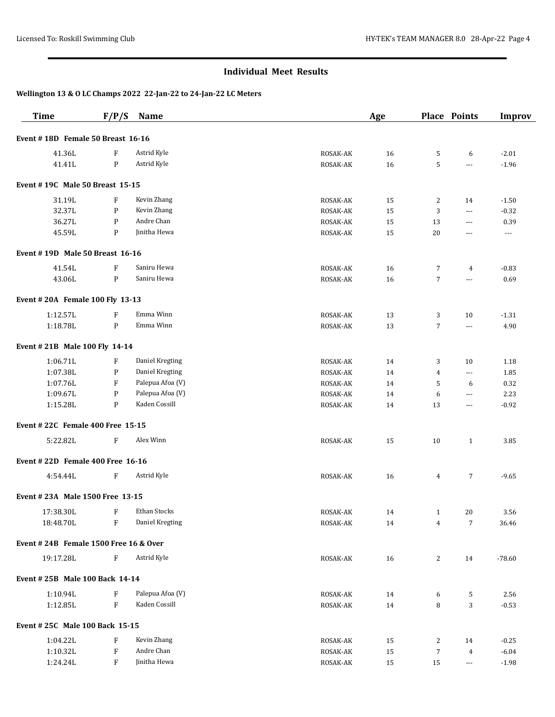| Event #18D Female 50 Breast 16-16<br>41.36L<br>Astrid Kyle<br>F<br>ROSAK-AK<br>16<br>5<br>6<br>Astrid Kyle<br>${\sf P}$<br>41.41L<br>ROSAK-AK<br>16<br>5<br>---<br>Event #19C Male 50 Breast 15-15<br>Kevin Zhang<br>31.19L<br>F<br>15<br>2<br>ROSAK-AK<br>14<br>Kevin Zhang<br>32.37L<br>P<br>3<br>ROSAK-AK<br>15<br>$-0.32$<br>$---$<br>Andre Chan<br>36.27L<br>P<br>ROSAK-AK<br>15<br>13<br>0.39<br>$---$<br>Jinitha Hewa<br>45.59L<br>P<br>ROSAK-AK<br>15<br>20<br>$\cdots$<br>$\scriptstyle\cdots$<br>Event #19D Male 50 Breast 16-16<br>Saniru Hewa<br>41.54L<br>F<br>ROSAK-AK<br>$-0.83$<br>16<br>7<br>4<br>Saniru Hewa<br>43.06L<br>${\sf P}$<br>$\overline{7}$<br>ROSAK-AK<br>16<br>$---$<br>Event #20A Female 100 Fly 13-13<br>Emma Winn<br>1:12.57L<br>F<br>ROSAK-AK<br>13<br>3<br>10<br>$-1.31$<br>${\sf P}$<br>Emma Winn<br>1:18.78L<br>$\overline{7}$<br>13<br>ROSAK-AK<br>4.90<br>$---$<br>Event #21B Male 100 Fly 14-14<br>1:06.71L<br>F<br>Daniel Kregting<br>ROSAK-AK<br>14<br>3<br>10<br>1:07.38L<br>P<br>Daniel Kregting<br>ROSAK-AK<br>14<br>4<br>$\scriptstyle\cdots$<br>1:07.76L<br>F<br>Palepua Afoa (V)<br>ROSAK-AK<br>5<br>14<br>6<br>Palepua Afoa (V)<br>1:09.67L<br>P<br>ROSAK-AK<br>14<br>6<br>$\scriptstyle\cdots$<br>Kaden Cossill<br>1:15.28L<br>P<br>ROSAK-AK<br>13<br>14<br>$\cdots$<br>Event #22C Female 400 Free 15-15<br>5:22.82L<br>F<br>Alex Winn<br>ROSAK-AK<br>15<br>10<br>$\mathbf{1}$<br>Event #22D Female 400 Free 16-16<br>$\boldsymbol{\mathrm{F}}$<br>Astrid Kyle<br>4:54.44L<br>ROSAK-AK<br>16<br>4<br>7<br>Event # 23A Male 1500 Free 13-15<br>Ethan Stocks<br>17:38.30L<br>F<br>ROSAK-AK<br>20<br>14<br>$\mathbf{1}$<br>$\boldsymbol{\mathrm{F}}$<br>Daniel Kregting<br>18:48.70L<br>$\overline{7}$<br>ROSAK-AK<br>14<br>4<br>Event #24B Female 1500 Free 16 & Over<br>Astrid Kyle<br>19:17.28L<br>$\boldsymbol{\mathrm{F}}$<br>ROSAK-AK<br>16<br>2<br>14<br>Event # 25B Male 100 Back 14-14<br>Palepua Afoa (V)<br>1:10.94L<br>$\boldsymbol{\mathrm{F}}$<br>ROSAK-AK<br>14<br>5<br>6<br>Kaden Cossill<br>F<br>1:12.85L<br>8<br>3<br>ROSAK-AK<br>14<br>Event # 25C Male 100 Back 15-15 | <b>Time</b> | F/P/S | Name        |          | Age |   | <b>Place Points</b> | <b>Improv</b> |
|------------------------------------------------------------------------------------------------------------------------------------------------------------------------------------------------------------------------------------------------------------------------------------------------------------------------------------------------------------------------------------------------------------------------------------------------------------------------------------------------------------------------------------------------------------------------------------------------------------------------------------------------------------------------------------------------------------------------------------------------------------------------------------------------------------------------------------------------------------------------------------------------------------------------------------------------------------------------------------------------------------------------------------------------------------------------------------------------------------------------------------------------------------------------------------------------------------------------------------------------------------------------------------------------------------------------------------------------------------------------------------------------------------------------------------------------------------------------------------------------------------------------------------------------------------------------------------------------------------------------------------------------------------------------------------------------------------------------------------------------------------------------------------------------------------------------------------------------------------------------------------------------------------------------------------------------------------------------------------------------------------------------------------------------------------------------------------------------------------------------------------------|-------------|-------|-------------|----------|-----|---|---------------------|---------------|
|                                                                                                                                                                                                                                                                                                                                                                                                                                                                                                                                                                                                                                                                                                                                                                                                                                                                                                                                                                                                                                                                                                                                                                                                                                                                                                                                                                                                                                                                                                                                                                                                                                                                                                                                                                                                                                                                                                                                                                                                                                                                                                                                          |             |       |             |          |     |   |                     |               |
|                                                                                                                                                                                                                                                                                                                                                                                                                                                                                                                                                                                                                                                                                                                                                                                                                                                                                                                                                                                                                                                                                                                                                                                                                                                                                                                                                                                                                                                                                                                                                                                                                                                                                                                                                                                                                                                                                                                                                                                                                                                                                                                                          |             |       |             |          |     |   |                     | $-2.01$       |
|                                                                                                                                                                                                                                                                                                                                                                                                                                                                                                                                                                                                                                                                                                                                                                                                                                                                                                                                                                                                                                                                                                                                                                                                                                                                                                                                                                                                                                                                                                                                                                                                                                                                                                                                                                                                                                                                                                                                                                                                                                                                                                                                          |             |       |             |          |     |   |                     | $-1.96$       |
|                                                                                                                                                                                                                                                                                                                                                                                                                                                                                                                                                                                                                                                                                                                                                                                                                                                                                                                                                                                                                                                                                                                                                                                                                                                                                                                                                                                                                                                                                                                                                                                                                                                                                                                                                                                                                                                                                                                                                                                                                                                                                                                                          |             |       |             |          |     |   |                     |               |
|                                                                                                                                                                                                                                                                                                                                                                                                                                                                                                                                                                                                                                                                                                                                                                                                                                                                                                                                                                                                                                                                                                                                                                                                                                                                                                                                                                                                                                                                                                                                                                                                                                                                                                                                                                                                                                                                                                                                                                                                                                                                                                                                          |             |       |             |          |     |   |                     | $-1.50$       |
|                                                                                                                                                                                                                                                                                                                                                                                                                                                                                                                                                                                                                                                                                                                                                                                                                                                                                                                                                                                                                                                                                                                                                                                                                                                                                                                                                                                                                                                                                                                                                                                                                                                                                                                                                                                                                                                                                                                                                                                                                                                                                                                                          |             |       |             |          |     |   |                     |               |
|                                                                                                                                                                                                                                                                                                                                                                                                                                                                                                                                                                                                                                                                                                                                                                                                                                                                                                                                                                                                                                                                                                                                                                                                                                                                                                                                                                                                                                                                                                                                                                                                                                                                                                                                                                                                                                                                                                                                                                                                                                                                                                                                          |             |       |             |          |     |   |                     |               |
|                                                                                                                                                                                                                                                                                                                                                                                                                                                                                                                                                                                                                                                                                                                                                                                                                                                                                                                                                                                                                                                                                                                                                                                                                                                                                                                                                                                                                                                                                                                                                                                                                                                                                                                                                                                                                                                                                                                                                                                                                                                                                                                                          |             |       |             |          |     |   |                     |               |
|                                                                                                                                                                                                                                                                                                                                                                                                                                                                                                                                                                                                                                                                                                                                                                                                                                                                                                                                                                                                                                                                                                                                                                                                                                                                                                                                                                                                                                                                                                                                                                                                                                                                                                                                                                                                                                                                                                                                                                                                                                                                                                                                          |             |       |             |          |     |   |                     |               |
|                                                                                                                                                                                                                                                                                                                                                                                                                                                                                                                                                                                                                                                                                                                                                                                                                                                                                                                                                                                                                                                                                                                                                                                                                                                                                                                                                                                                                                                                                                                                                                                                                                                                                                                                                                                                                                                                                                                                                                                                                                                                                                                                          |             |       |             |          |     |   |                     |               |
|                                                                                                                                                                                                                                                                                                                                                                                                                                                                                                                                                                                                                                                                                                                                                                                                                                                                                                                                                                                                                                                                                                                                                                                                                                                                                                                                                                                                                                                                                                                                                                                                                                                                                                                                                                                                                                                                                                                                                                                                                                                                                                                                          |             |       |             |          |     |   |                     | 0.69          |
|                                                                                                                                                                                                                                                                                                                                                                                                                                                                                                                                                                                                                                                                                                                                                                                                                                                                                                                                                                                                                                                                                                                                                                                                                                                                                                                                                                                                                                                                                                                                                                                                                                                                                                                                                                                                                                                                                                                                                                                                                                                                                                                                          |             |       |             |          |     |   |                     |               |
|                                                                                                                                                                                                                                                                                                                                                                                                                                                                                                                                                                                                                                                                                                                                                                                                                                                                                                                                                                                                                                                                                                                                                                                                                                                                                                                                                                                                                                                                                                                                                                                                                                                                                                                                                                                                                                                                                                                                                                                                                                                                                                                                          |             |       |             |          |     |   |                     |               |
|                                                                                                                                                                                                                                                                                                                                                                                                                                                                                                                                                                                                                                                                                                                                                                                                                                                                                                                                                                                                                                                                                                                                                                                                                                                                                                                                                                                                                                                                                                                                                                                                                                                                                                                                                                                                                                                                                                                                                                                                                                                                                                                                          |             |       |             |          |     |   |                     |               |
|                                                                                                                                                                                                                                                                                                                                                                                                                                                                                                                                                                                                                                                                                                                                                                                                                                                                                                                                                                                                                                                                                                                                                                                                                                                                                                                                                                                                                                                                                                                                                                                                                                                                                                                                                                                                                                                                                                                                                                                                                                                                                                                                          |             |       |             |          |     |   |                     |               |
|                                                                                                                                                                                                                                                                                                                                                                                                                                                                                                                                                                                                                                                                                                                                                                                                                                                                                                                                                                                                                                                                                                                                                                                                                                                                                                                                                                                                                                                                                                                                                                                                                                                                                                                                                                                                                                                                                                                                                                                                                                                                                                                                          |             |       |             |          |     |   |                     |               |
|                                                                                                                                                                                                                                                                                                                                                                                                                                                                                                                                                                                                                                                                                                                                                                                                                                                                                                                                                                                                                                                                                                                                                                                                                                                                                                                                                                                                                                                                                                                                                                                                                                                                                                                                                                                                                                                                                                                                                                                                                                                                                                                                          |             |       |             |          |     |   |                     | 1.18          |
|                                                                                                                                                                                                                                                                                                                                                                                                                                                                                                                                                                                                                                                                                                                                                                                                                                                                                                                                                                                                                                                                                                                                                                                                                                                                                                                                                                                                                                                                                                                                                                                                                                                                                                                                                                                                                                                                                                                                                                                                                                                                                                                                          |             |       |             |          |     |   |                     | 1.85          |
|                                                                                                                                                                                                                                                                                                                                                                                                                                                                                                                                                                                                                                                                                                                                                                                                                                                                                                                                                                                                                                                                                                                                                                                                                                                                                                                                                                                                                                                                                                                                                                                                                                                                                                                                                                                                                                                                                                                                                                                                                                                                                                                                          |             |       |             |          |     |   |                     | 0.32          |
|                                                                                                                                                                                                                                                                                                                                                                                                                                                                                                                                                                                                                                                                                                                                                                                                                                                                                                                                                                                                                                                                                                                                                                                                                                                                                                                                                                                                                                                                                                                                                                                                                                                                                                                                                                                                                                                                                                                                                                                                                                                                                                                                          |             |       |             |          |     |   |                     | 2.23          |
|                                                                                                                                                                                                                                                                                                                                                                                                                                                                                                                                                                                                                                                                                                                                                                                                                                                                                                                                                                                                                                                                                                                                                                                                                                                                                                                                                                                                                                                                                                                                                                                                                                                                                                                                                                                                                                                                                                                                                                                                                                                                                                                                          |             |       |             |          |     |   |                     | $-0.92$       |
|                                                                                                                                                                                                                                                                                                                                                                                                                                                                                                                                                                                                                                                                                                                                                                                                                                                                                                                                                                                                                                                                                                                                                                                                                                                                                                                                                                                                                                                                                                                                                                                                                                                                                                                                                                                                                                                                                                                                                                                                                                                                                                                                          |             |       |             |          |     |   |                     |               |
|                                                                                                                                                                                                                                                                                                                                                                                                                                                                                                                                                                                                                                                                                                                                                                                                                                                                                                                                                                                                                                                                                                                                                                                                                                                                                                                                                                                                                                                                                                                                                                                                                                                                                                                                                                                                                                                                                                                                                                                                                                                                                                                                          |             |       |             |          |     |   |                     | 3.85          |
|                                                                                                                                                                                                                                                                                                                                                                                                                                                                                                                                                                                                                                                                                                                                                                                                                                                                                                                                                                                                                                                                                                                                                                                                                                                                                                                                                                                                                                                                                                                                                                                                                                                                                                                                                                                                                                                                                                                                                                                                                                                                                                                                          |             |       |             |          |     |   |                     |               |
|                                                                                                                                                                                                                                                                                                                                                                                                                                                                                                                                                                                                                                                                                                                                                                                                                                                                                                                                                                                                                                                                                                                                                                                                                                                                                                                                                                                                                                                                                                                                                                                                                                                                                                                                                                                                                                                                                                                                                                                                                                                                                                                                          |             |       |             |          |     |   |                     | $-9.65$       |
|                                                                                                                                                                                                                                                                                                                                                                                                                                                                                                                                                                                                                                                                                                                                                                                                                                                                                                                                                                                                                                                                                                                                                                                                                                                                                                                                                                                                                                                                                                                                                                                                                                                                                                                                                                                                                                                                                                                                                                                                                                                                                                                                          |             |       |             |          |     |   |                     |               |
|                                                                                                                                                                                                                                                                                                                                                                                                                                                                                                                                                                                                                                                                                                                                                                                                                                                                                                                                                                                                                                                                                                                                                                                                                                                                                                                                                                                                                                                                                                                                                                                                                                                                                                                                                                                                                                                                                                                                                                                                                                                                                                                                          |             |       |             |          |     |   |                     | 3.56          |
|                                                                                                                                                                                                                                                                                                                                                                                                                                                                                                                                                                                                                                                                                                                                                                                                                                                                                                                                                                                                                                                                                                                                                                                                                                                                                                                                                                                                                                                                                                                                                                                                                                                                                                                                                                                                                                                                                                                                                                                                                                                                                                                                          |             |       |             |          |     |   |                     | 36.46         |
|                                                                                                                                                                                                                                                                                                                                                                                                                                                                                                                                                                                                                                                                                                                                                                                                                                                                                                                                                                                                                                                                                                                                                                                                                                                                                                                                                                                                                                                                                                                                                                                                                                                                                                                                                                                                                                                                                                                                                                                                                                                                                                                                          |             |       |             |          |     |   |                     |               |
|                                                                                                                                                                                                                                                                                                                                                                                                                                                                                                                                                                                                                                                                                                                                                                                                                                                                                                                                                                                                                                                                                                                                                                                                                                                                                                                                                                                                                                                                                                                                                                                                                                                                                                                                                                                                                                                                                                                                                                                                                                                                                                                                          |             |       |             |          |     |   |                     | $-78.60$      |
|                                                                                                                                                                                                                                                                                                                                                                                                                                                                                                                                                                                                                                                                                                                                                                                                                                                                                                                                                                                                                                                                                                                                                                                                                                                                                                                                                                                                                                                                                                                                                                                                                                                                                                                                                                                                                                                                                                                                                                                                                                                                                                                                          |             |       |             |          |     |   |                     |               |
|                                                                                                                                                                                                                                                                                                                                                                                                                                                                                                                                                                                                                                                                                                                                                                                                                                                                                                                                                                                                                                                                                                                                                                                                                                                                                                                                                                                                                                                                                                                                                                                                                                                                                                                                                                                                                                                                                                                                                                                                                                                                                                                                          |             |       |             |          |     |   |                     | 2.56          |
|                                                                                                                                                                                                                                                                                                                                                                                                                                                                                                                                                                                                                                                                                                                                                                                                                                                                                                                                                                                                                                                                                                                                                                                                                                                                                                                                                                                                                                                                                                                                                                                                                                                                                                                                                                                                                                                                                                                                                                                                                                                                                                                                          |             |       |             |          |     |   |                     | $-0.53$       |
|                                                                                                                                                                                                                                                                                                                                                                                                                                                                                                                                                                                                                                                                                                                                                                                                                                                                                                                                                                                                                                                                                                                                                                                                                                                                                                                                                                                                                                                                                                                                                                                                                                                                                                                                                                                                                                                                                                                                                                                                                                                                                                                                          |             |       |             |          |     |   |                     |               |
|                                                                                                                                                                                                                                                                                                                                                                                                                                                                                                                                                                                                                                                                                                                                                                                                                                                                                                                                                                                                                                                                                                                                                                                                                                                                                                                                                                                                                                                                                                                                                                                                                                                                                                                                                                                                                                                                                                                                                                                                                                                                                                                                          | 1:04.22L    | F     | Kevin Zhang | ROSAK-AK | 15  | 2 | 14                  | $-0.25$       |
| ${\bf F}$<br>Andre Chan<br>1:10.32L<br>$\overline{7}$<br>ROSAK-AK<br>15<br>$\overline{4}$                                                                                                                                                                                                                                                                                                                                                                                                                                                                                                                                                                                                                                                                                                                                                                                                                                                                                                                                                                                                                                                                                                                                                                                                                                                                                                                                                                                                                                                                                                                                                                                                                                                                                                                                                                                                                                                                                                                                                                                                                                                |             |       |             |          |     |   |                     | $-6.04$       |
| Jinitha Hewa<br>1:24.24L<br>F<br>ROSAK-AK<br>15<br>15<br>---                                                                                                                                                                                                                                                                                                                                                                                                                                                                                                                                                                                                                                                                                                                                                                                                                                                                                                                                                                                                                                                                                                                                                                                                                                                                                                                                                                                                                                                                                                                                                                                                                                                                                                                                                                                                                                                                                                                                                                                                                                                                             |             |       |             |          |     |   |                     | $-1.98$       |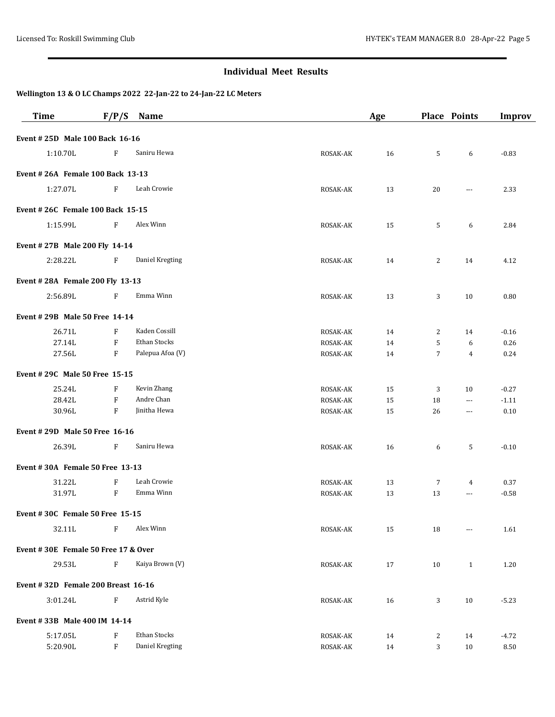| <b>Time</b>                         | F/P/S                     | Name             |          | Age |                | <b>Place Points</b> | <b>Improv</b> |
|-------------------------------------|---------------------------|------------------|----------|-----|----------------|---------------------|---------------|
| Event # 25D Male 100 Back 16-16     |                           |                  |          |     |                |                     |               |
| 1:10.70L                            | F                         | Saniru Hewa      | ROSAK-AK | 16  | 5              | 6                   | $-0.83$       |
| Event # 26A Female 100 Back 13-13   |                           |                  |          |     |                |                     |               |
| 1:27.07L                            | F                         | Leah Crowie      | ROSAK-AK | 13  | 20             | $\cdots$            | 2.33          |
| Event # 26C Female 100 Back 15-15   |                           |                  |          |     |                |                     |               |
| 1:15.99L                            | F                         | Alex Winn        | ROSAK-AK | 15  | 5              | 6                   | 2.84          |
| Event #27B Male 200 Fly 14-14       |                           |                  |          |     |                |                     |               |
| 2:28.22L                            | F                         | Daniel Kregting  | ROSAK-AK | 14  | 2              | 14                  | 4.12          |
| Event #28A Female 200 Fly 13-13     |                           |                  |          |     |                |                     |               |
| 2:56.89L                            | F                         | Emma Winn        | ROSAK-AK | 13  | 3              | 10                  | 0.80          |
| Event # 29B Male 50 Free 14-14      |                           |                  |          |     |                |                     |               |
| 26.71L                              | F                         | Kaden Cossill    | ROSAK-AK | 14  | 2              | 14                  | $-0.16$       |
| 27.14L                              | $\boldsymbol{\mathrm{F}}$ | Ethan Stocks     | ROSAK-AK | 14  | 5              | 6                   | 0.26          |
| 27.56L                              | F                         | Palepua Afoa (V) | ROSAK-AK | 14  | $\overline{7}$ | $\overline{4}$      | 0.24          |
| Event # 29C Male 50 Free 15-15      |                           |                  |          |     |                |                     |               |
| 25.24L                              | F                         | Kevin Zhang      | ROSAK-AK | 15  | 3              | 10                  | $-0.27$       |
| 28.42L                              | F                         | Andre Chan       | ROSAK-AK | 15  | 18             | $\cdots$            | $-1.11$       |
| 30.96L                              | F                         | Jinitha Hewa     | ROSAK-AK | 15  | 26             | $\cdots$            | $0.10\,$      |
| Event # 29D Male 50 Free 16-16      |                           |                  |          |     |                |                     |               |
| 26.39L                              | F                         | Saniru Hewa      | ROSAK-AK | 16  | 6              | 5                   | $-0.10$       |
| Event #30A Female 50 Free 13-13     |                           |                  |          |     |                |                     |               |
| 31.22L                              | $\boldsymbol{\mathrm{F}}$ | Leah Crowie      | ROSAK-AK | 13  | $\overline{7}$ | 4                   | 0.37          |
| 31.97L                              | $\boldsymbol{\mathrm{F}}$ | Emma Winn        | ROSAK-AK | 13  | 13             | $\cdots$            | $-0.58$       |
| Event #30C Female 50 Free 15-15     |                           |                  |          |     |                |                     |               |
| 32.11L                              | F                         | Alex Winn        | ROSAK-AK | 15  | 18             | ---                 | 1.61          |
| Event #30E Female 50 Free 17 & Over |                           |                  |          |     |                |                     |               |
| 29.53L                              | F                         | Kaiya Brown (V)  | ROSAK-AK | 17  | 10             | $\mathbf{1}$        | 1.20          |
| Event #32D Female 200 Breast 16-16  |                           |                  |          |     |                |                     |               |
| 3:01.24L                            | F                         | Astrid Kyle      | ROSAK-AK | 16  | 3              | 10                  | $-5.23$       |
| Event #33B Male 400 IM 14-14        |                           |                  |          |     |                |                     |               |
| 5:17.05L                            | F                         | Ethan Stocks     | ROSAK-AK | 14  | 2              | 14                  | $-4.72$       |
| 5:20.90L                            | F                         | Daniel Kregting  | ROSAK-AK | 14  | 3              | 10                  | 8.50          |
|                                     |                           |                  |          |     |                |                     |               |